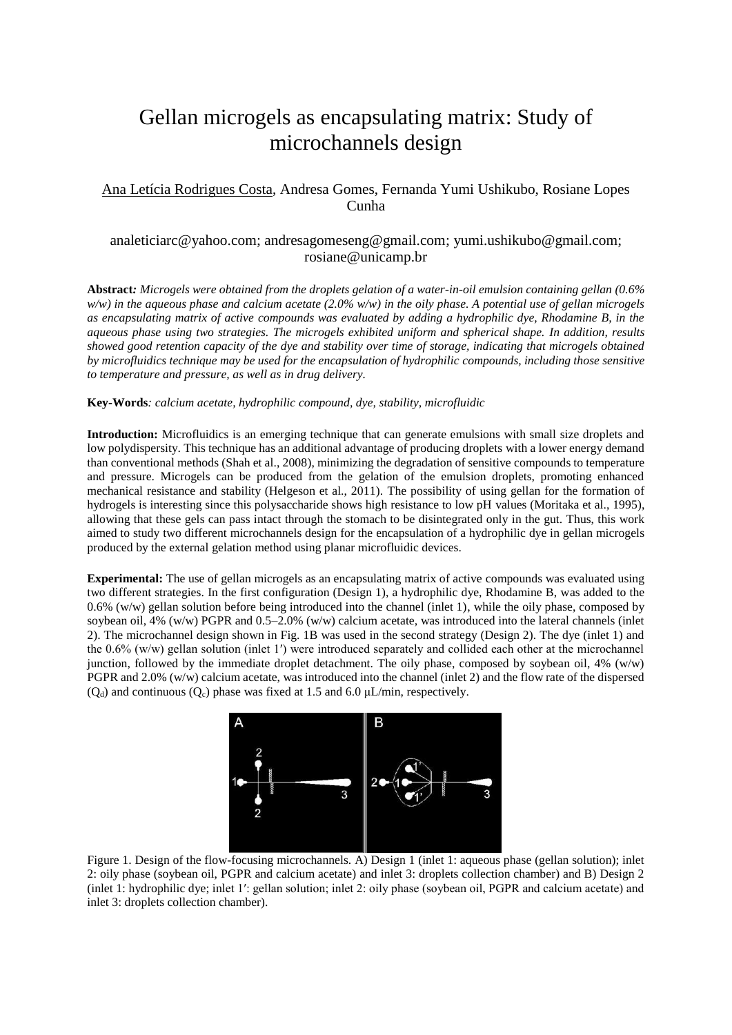## Gellan microgels as encapsulating matrix: Study of microchannels design

## Ana Letícia Rodrigues Costa, Andresa Gomes, Fernanda Yumi Ushikubo, Rosiane Lopes Cunha

## analeticiarc@yahoo.com; andresagomeseng@gmail.com; yumi.ushikubo@gmail.com; rosiane@unicamp.br

**Abstract***: Microgels were obtained from the droplets gelation of a water-in-oil emulsion containing gellan (0.6% w/w) in the aqueous phase and calcium acetate (2.0% w/w) in the oily phase. A potential use of gellan microgels as encapsulating matrix of active compounds was evaluated by adding a hydrophilic dye, Rhodamine B, in the aqueous phase using two strategies. The microgels exhibited uniform and spherical shape. In addition, results showed good retention capacity of the dye and stability over time of storage, indicating that microgels obtained by microfluidics technique may be used for the encapsulation of hydrophilic compounds, including those sensitive to temperature and pressure, as well as in drug delivery.*

## **Key-Words***: calcium acetate, hydrophilic compound, dye, stability, microfluidic*

**Introduction:** Microfluidics is an emerging technique that can generate emulsions with small size droplets and low polydispersity. This technique has an additional advantage of producing droplets with a lower energy demand than conventional methods (Shah et al., 2008), minimizing the degradation of sensitive compounds to temperature and pressure. Microgels can be produced from the gelation of the emulsion droplets, promoting enhanced mechanical resistance and stability (Helgeson et al., 2011). The possibility of using gellan for the formation of hydrogels is interesting since this polysaccharide shows high resistance to low pH values (Moritaka et al., 1995), allowing that these gels can pass intact through the stomach to be disintegrated only in the gut. Thus, this work aimed to study two different microchannels design for the encapsulation of a hydrophilic dye in gellan microgels produced by the external gelation method using planar microfluidic devices.

**Experimental:** The use of gellan microgels as an encapsulating matrix of active compounds was evaluated using two different strategies. In the first configuration (Design 1), a hydrophilic dye, Rhodamine B, was added to the  $0.6\%$  (w/w) gellan solution before being introduced into the channel (inlet 1), while the oily phase, composed by soybean oil, 4% (w/w) PGPR and 0.5–2.0% (w/w) calcium acetate, was introduced into the lateral channels (inlet 2). The microchannel design shown in Fig. 1B was used in the second strategy (Design 2). The dye (inlet 1) and the 0.6% (w/w) gellan solution (inlet 1′) were introduced separately and collided each other at the microchannel junction, followed by the immediate droplet detachment. The oily phase, composed by soybean oil, 4% (w/w) PGPR and 2.0% (w/w) calcium acetate, was introduced into the channel (inlet 2) and the flow rate of the dispersed  $(Q_d)$  and continuous  $(Q_c)$  phase was fixed at 1.5 and 6.0  $\mu L/min$ , respectively.



Figure 1. Design of the flow-focusing microchannels. A) Design 1 (inlet 1: aqueous phase (gellan solution); inlet 2: oily phase (soybean oil, PGPR and calcium acetate) and inlet 3: droplets collection chamber) and B) Design 2 (inlet 1: hydrophilic dye; inlet 1′: gellan solution; inlet 2: oily phase (soybean oil, PGPR and calcium acetate) and inlet 3: droplets collection chamber).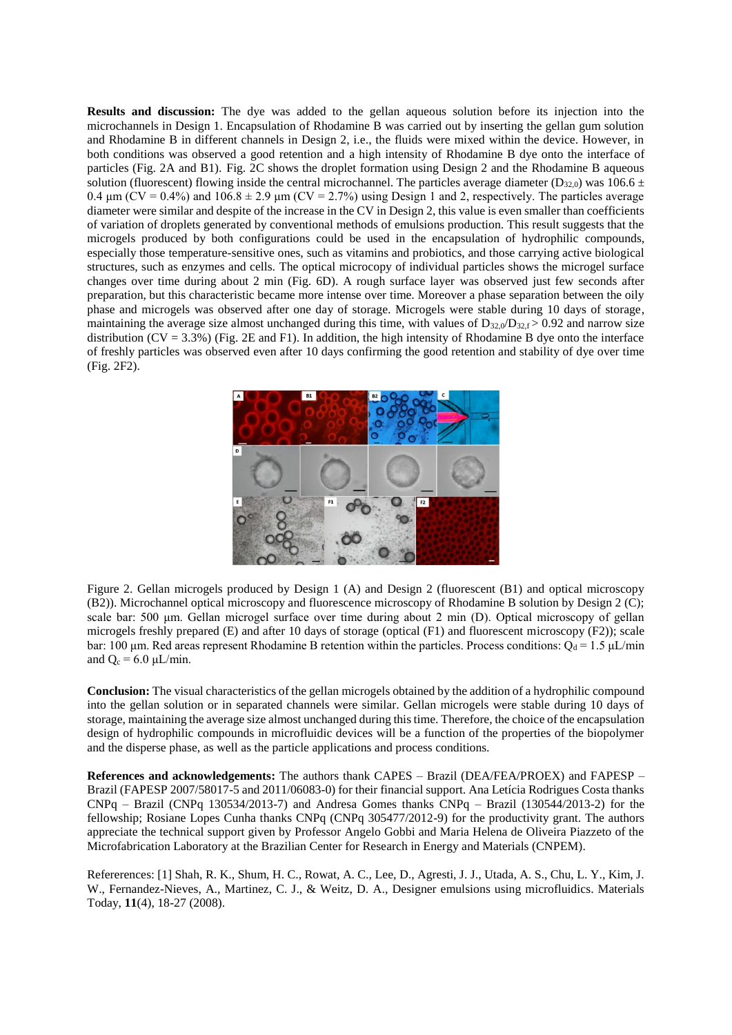**Results and discussion:** The dye was added to the gellan aqueous solution before its injection into the microchannels in Design 1. Encapsulation of Rhodamine B was carried out by inserting the gellan gum solution and Rhodamine B in different channels in Design 2, i.e., the fluids were mixed within the device. However, in both conditions was observed a good retention and a high intensity of Rhodamine B dye onto the interface of particles (Fig. 2A and B1). Fig. 2C shows the droplet formation using Design 2 and the Rhodamine B aqueous solution (fluorescent) flowing inside the central microchannel. The particles average diameter ( $D_{32,0}$ ) was 106.6  $\pm$ 0.4  $\mu$ m (CV = 0.4%) and 106.8  $\pm$  2.9  $\mu$ m (CV = 2.7%) using Design 1 and 2, respectively. The particles average diameter were similar and despite of the increase in the CV in Design 2, this value is even smaller than coefficients of variation of droplets generated by conventional methods of emulsions production. This result suggests that the microgels produced by both configurations could be used in the encapsulation of hydrophilic compounds, especially those temperature-sensitive ones, such as vitamins and probiotics, and those carrying active biological structures, such as enzymes and cells. The optical microcopy of individual particles shows the microgel surface changes over time during about 2 min (Fig. 6D). A rough surface layer was observed just few seconds after preparation, but this characteristic became more intense over time. Moreover a phase separation between the oily phase and microgels was observed after one day of storage. Microgels were stable during 10 days of storage, maintaining the average size almost unchanged during this time, with values of  $D_{32,0}/D_{32,5} > 0.92$  and narrow size distribution (CV = 3.3%) (Fig. 2E and F1). In addition, the high intensity of Rhodamine B dye onto the interface of freshly particles was observed even after 10 days confirming the good retention and stability of dye over time (Fig. 2F2).



Figure 2. Gellan microgels produced by Design 1 (A) and Design 2 (fluorescent (B1) and optical microscopy (B2)). Microchannel optical microscopy and fluorescence microscopy of Rhodamine B solution by Design 2 (C); scale bar: 500 μm. Gellan microgel surface over time during about 2 min (D). Optical microscopy of gellan microgels freshly prepared (E) and after 10 days of storage (optical (F1) and fluorescent microscopy (F2)); scale bar: 100 μm. Red areas represent Rhodamine B retention within the particles. Process conditions:  $Q_d = 1.5 \mu L/min$ and  $Q_c = 6.0 \mu L/min$ .

**Conclusion:** The visual characteristics of the gellan microgels obtained by the addition of a hydrophilic compound into the gellan solution or in separated channels were similar. Gellan microgels were stable during 10 days of storage, maintaining the average size almost unchanged during this time. Therefore, the choice of the encapsulation design of hydrophilic compounds in microfluidic devices will be a function of the properties of the biopolymer and the disperse phase, as well as the particle applications and process conditions.

**References and acknowledgements:** The authors thank CAPES – Brazil (DEA/FEA/PROEX) and FAPESP – Brazil (FAPESP 2007/58017-5 and 2011/06083-0) for their financial support. Ana Letícia Rodrigues Costa thanks CNPq – Brazil (CNPq 130534/2013-7) and Andresa Gomes thanks CNPq – Brazil (130544/2013-2) for the fellowship; Rosiane Lopes Cunha thanks CNPq (CNPq 305477/2012-9) for the productivity grant. The authors appreciate the technical support given by Professor Angelo Gobbi and Maria Helena de Oliveira Piazzeto of the Microfabrication Laboratory at the Brazilian Center for Research in Energy and Materials (CNPEM).

Refererences: [1] Shah, R. K., Shum, H. C., Rowat, A. C., Lee, D., Agresti, J. J., Utada, A. S., Chu, L. Y., Kim, J. W., Fernandez-Nieves, A., Martinez, C. J., & Weitz, D. A., Designer emulsions using microfluidics. Materials Today, **11**(4), 18-27 (2008).